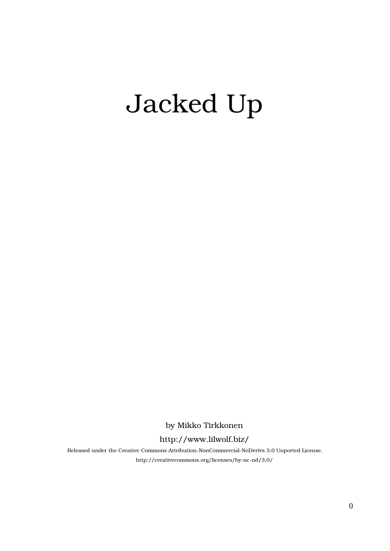## Jacked Up

by Mikko Tirkkonen

## http://www.lilwolf.biz/

Released under the Creative Commons Attribution-NonCommercial-NoDerivs 3.0 Unported License. http://creativecommons.org/licenses/by-nc-nd/3.0/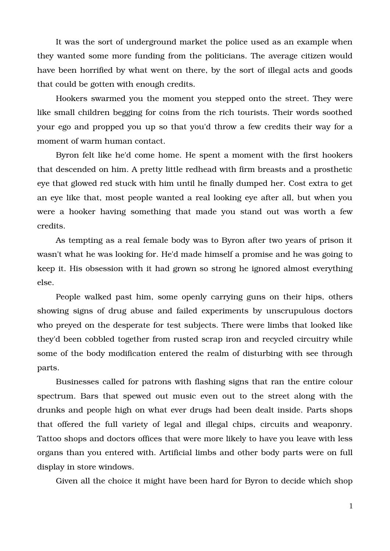It was the sort of underground market the police used as an example when they wanted some more funding from the politicians. The average citizen would have been horrified by what went on there, by the sort of illegal acts and goods that could be gotten with enough credits.

Hookers swarmed you the moment you stepped onto the street. They were like small children begging for coins from the rich tourists. Their words soothed your ego and propped you up so that you'd throw a few credits their way for a moment of warm human contact.

Byron felt like he'd come home. He spent a moment with the first hookers that descended on him. A pretty little redhead with firm breasts and a prosthetic eye that glowed red stuck with him until he finally dumped her. Cost extra to get an eye like that, most people wanted a real looking eye after all, but when you were a hooker having something that made you stand out was worth a few credits.

As tempting as a real female body was to Byron after two years of prison it wasn't what he was looking for. He'd made himself a promise and he was going to keep it. His obsession with it had grown so strong he ignored almost everything else.

People walked past him, some openly carrying guns on their hips, others showing signs of drug abuse and failed experiments by unscrupulous doctors who preyed on the desperate for test subjects. There were limbs that looked like they'd been cobbled together from rusted scrap iron and recycled circuitry while some of the body modification entered the realm of disturbing with see through parts.

Businesses called for patrons with flashing signs that ran the entire colour spectrum. Bars that spewed out music even out to the street along with the drunks and people high on what ever drugs had been dealt inside. Parts shops that offered the full variety of legal and illegal chips, circuits and weaponry. Tattoo shops and doctors offices that were more likely to have you leave with less organs than you entered with. Artificial limbs and other body parts were on full display in store windows.

Given all the choice it might have been hard for Byron to decide which shop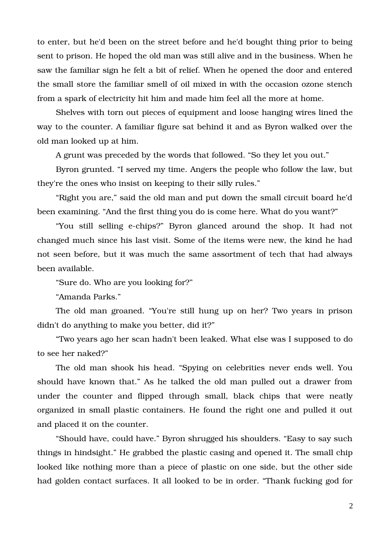to enter, but he'd been on the street before and he'd bought thing prior to being sent to prison. He hoped the old man was still alive and in the business. When he saw the familiar sign he felt a bit of relief. When he opened the door and entered the small store the familiar smell of oil mixed in with the occasion ozone stench from a spark of electricity hit him and made him feel all the more at home.

Shelves with torn out pieces of equipment and loose hanging wires lined the way to the counter. A familiar figure sat behind it and as Byron walked over the old man looked up at him.

A grunt was preceded by the words that followed. "So they let you out."

Byron grunted. "I served my time. Angers the people who follow the law, but they're the ones who insist on keeping to their silly rules."

"Right you are," said the old man and put down the small circuit board he'd been examining. "And the first thing you do is come here. What do you want?"

"You still selling e-chips?" Byron glanced around the shop. It had not changed much since his last visit. Some of the items were new, the kind he had not seen before, but it was much the same assortment of tech that had always been available.

"Sure do. Who are you looking for?"

"Amanda Parks."

The old man groaned. "You're still hung up on her? Two years in prison didn't do anything to make you better, did it?"

"Two years ago her scan hadn't been leaked. What else was I supposed to do to see her naked?"

The old man shook his head. "Spying on celebrities never ends well. You should have known that." As he talked the old man pulled out a drawer from under the counter and flipped through small, black chips that were neatly organized in small plastic containers. He found the right one and pulled it out and placed it on the counter.

"Should have, could have." Byron shrugged his shoulders. "Easy to say such things in hindsight." He grabbed the plastic casing and opened it. The small chip looked like nothing more than a piece of plastic on one side, but the other side had golden contact surfaces. It all looked to be in order. "Thank fucking god for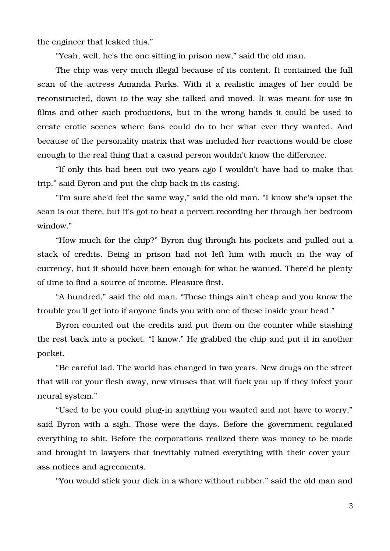the engineer that leaked this."

"Yeah, well, he's the one sitting in prison now," said the old man.

The chip was very much illegal because of its content. It contained the full scan of the actress Amanda Parks. With it a realistic images of her could be reconstructed, down to the way she talked and moved. It was meant for use in films and other such productions, but in the wrong hands it could be used to create erotic scenes where fans could do to her what ever they wanted. And because of the personality matrix that was included her reactions would be close enough to the real thing that a casual person wouldn't know the difference.

"If only this had been out two years ago I wouldn't have had to make that trip," said Byron and put the chip back in its casing.

"I'm sure she'd feel the same way," said the old man. "I know she's upset the scan is out there, but it's got to beat a pervert recording her through her bedroom window."

"How much for the chip?" Byron dug through his pockets and pulled out a stack of credits. Being in prison had not left him with much in the way of currency, but it should have been enough for what he wanted. There'd be plenty of time to find a source of income. Pleasure first.

"A hundred," said the old man. "These things ain't cheap and you know the trouble you'll get into if anyone finds you with one of these inside your head."

Byron counted out the credits and put them on the counter while stashing the rest back into a pocket. "I know." He grabbed the chip and put it in another pocket.

"Be careful lad. The world has changed in two years. New drugs on the street that will rot your flesh away, new viruses that will fuck you up if they infect your neural system."

"Used to be you could plug-in anything you wanted and not have to worry," said Byron with a sigh. Those were the days. Before the government regulated everything to shit. Before the corporations realized there was money to be made and brought in lawyers that inevitably ruined everything with their cover-yourass notices and agreements.

"You would stick your dick in a whore without rubber," said the old man and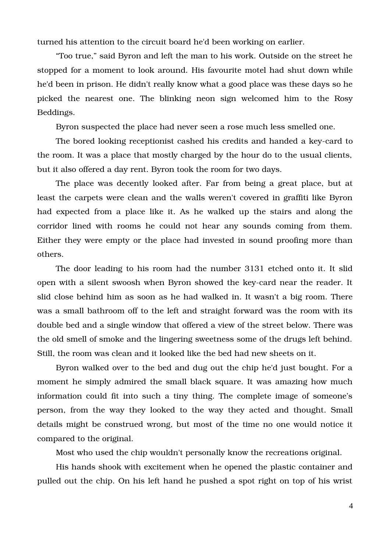turned his attention to the circuit board he'd been working on earlier.

"Too true," said Byron and left the man to his work. Outside on the street he stopped for a moment to look around. His favourite motel had shut down while he'd been in prison. He didn't really know what a good place was these days so he picked the nearest one. The blinking neon sign welcomed him to the Rosy Beddings.

Byron suspected the place had never seen a rose much less smelled one.

The bored looking receptionist cashed his credits and handed a key-card to the room. It was a place that mostly charged by the hour do to the usual clients, but it also offered a day rent. Byron took the room for two days.

The place was decently looked after. Far from being a great place, but at least the carpets were clean and the walls weren't covered in graffiti like Byron had expected from a place like it. As he walked up the stairs and along the corridor lined with rooms he could not hear any sounds coming from them. Either they were empty or the place had invested in sound proofing more than others.

The door leading to his room had the number 3131 etched onto it. It slid open with a silent swoosh when Byron showed the keycard near the reader. It slid close behind him as soon as he had walked in. It wasn't a big room. There was a small bathroom off to the left and straight forward was the room with its double bed and a single window that offered a view of the street below. There was the old smell of smoke and the lingering sweetness some of the drugs left behind. Still, the room was clean and it looked like the bed had new sheets on it.

Byron walked over to the bed and dug out the chip he'd just bought. For a moment he simply admired the small black square. It was amazing how much information could fit into such a tiny thing. The complete image of someone's person, from the way they looked to the way they acted and thought. Small details might be construed wrong, but most of the time no one would notice it compared to the original.

Most who used the chip wouldn't personally know the recreations original.

His hands shook with excitement when he opened the plastic container and pulled out the chip. On his left hand he pushed a spot right on top of his wrist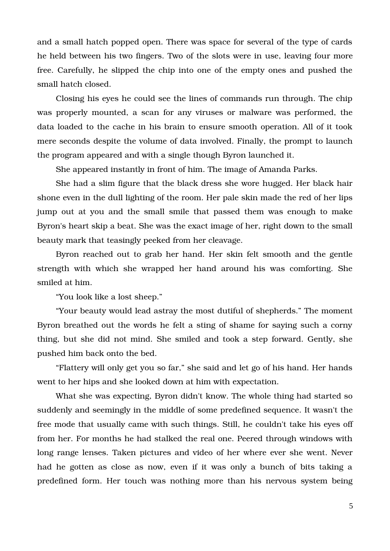and a small hatch popped open. There was space for several of the type of cards he held between his two fingers. Two of the slots were in use, leaving four more free. Carefully, he slipped the chip into one of the empty ones and pushed the small hatch closed.

Closing his eyes he could see the lines of commands run through. The chip was properly mounted, a scan for any viruses or malware was performed, the data loaded to the cache in his brain to ensure smooth operation. All of it took mere seconds despite the volume of data involved. Finally, the prompt to launch the program appeared and with a single though Byron launched it.

She appeared instantly in front of him. The image of Amanda Parks.

She had a slim figure that the black dress she wore hugged. Her black hair shone even in the dull lighting of the room. Her pale skin made the red of her lips jump out at you and the small smile that passed them was enough to make Byron's heart skip a beat. She was the exact image of her, right down to the small beauty mark that teasingly peeked from her cleavage.

Byron reached out to grab her hand. Her skin felt smooth and the gentle strength with which she wrapped her hand around his was comforting. She smiled at him.

"You look like a lost sheep."

"Your beauty would lead astray the most dutiful of shepherds." The moment Byron breathed out the words he felt a sting of shame for saying such a corny thing, but she did not mind. She smiled and took a step forward. Gently, she pushed him back onto the bed.

"Flattery will only get you so far," she said and let go of his hand. Her hands went to her hips and she looked down at him with expectation.

What she was expecting, Byron didn't know. The whole thing had started so suddenly and seemingly in the middle of some predefined sequence. It wasn't the free mode that usually came with such things. Still, he couldn't take his eyes off from her. For months he had stalked the real one. Peered through windows with long range lenses. Taken pictures and video of her where ever she went. Never had he gotten as close as now, even if it was only a bunch of bits taking a predefined form. Her touch was nothing more than his nervous system being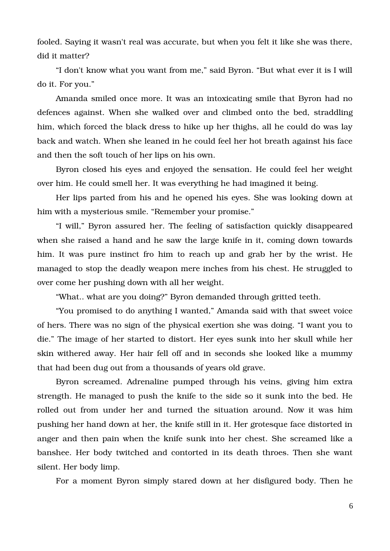fooled. Saying it wasn't real was accurate, but when you felt it like she was there, did it matter?

"I don't know what you want from me," said Byron. "But what ever it is I will do it. For you."

Amanda smiled once more. It was an intoxicating smile that Byron had no defences against. When she walked over and climbed onto the bed, straddling him, which forced the black dress to hike up her thighs, all he could do was lay back and watch. When she leaned in he could feel her hot breath against his face and then the soft touch of her lips on his own.

Byron closed his eyes and enjoyed the sensation. He could feel her weight over him. He could smell her. It was everything he had imagined it being.

Her lips parted from his and he opened his eyes. She was looking down at him with a mysterious smile. "Remember your promise."

"I will," Byron assured her. The feeling of satisfaction quickly disappeared when she raised a hand and he saw the large knife in it, coming down towards him. It was pure instinct fro him to reach up and grab her by the wrist. He managed to stop the deadly weapon mere inches from his chest. He struggled to over come her pushing down with all her weight.

"What.. what are you doing?" Byron demanded through gritted teeth.

"You promised to do anything I wanted," Amanda said with that sweet voice of hers. There was no sign of the physical exertion she was doing. "I want you to die." The image of her started to distort. Her eyes sunk into her skull while her skin withered away. Her hair fell off and in seconds she looked like a mummy that had been dug out from a thousands of years old grave.

Byron screamed. Adrenaline pumped through his veins, giving him extra strength. He managed to push the knife to the side so it sunk into the bed. He rolled out from under her and turned the situation around. Now it was him pushing her hand down at her, the knife still in it. Her grotesque face distorted in anger and then pain when the knife sunk into her chest. She screamed like a banshee. Her body twitched and contorted in its death throes. Then she want silent. Her body limp.

For a moment Byron simply stared down at her disfigured body. Then he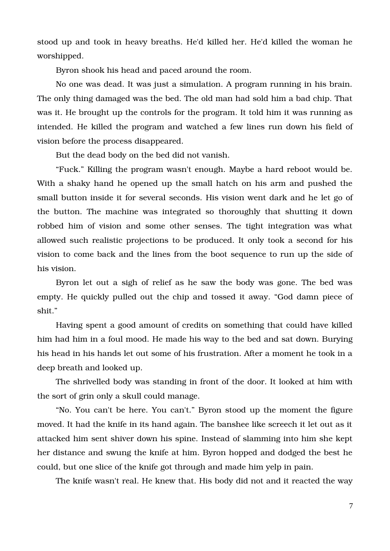stood up and took in heavy breaths. He'd killed her. He'd killed the woman he worshipped.

Byron shook his head and paced around the room.

No one was dead. It was just a simulation. A program running in his brain. The only thing damaged was the bed. The old man had sold him a bad chip. That was it. He brought up the controls for the program. It told him it was running as intended. He killed the program and watched a few lines run down his field of vision before the process disappeared.

But the dead body on the bed did not vanish.

"Fuck." Killing the program wasn't enough. Maybe a hard reboot would be. With a shaky hand he opened up the small hatch on his arm and pushed the small button inside it for several seconds. His vision went dark and he let go of the button. The machine was integrated so thoroughly that shutting it down robbed him of vision and some other senses. The tight integration was what allowed such realistic projections to be produced. It only took a second for his vision to come back and the lines from the boot sequence to run up the side of his vision.

Byron let out a sigh of relief as he saw the body was gone. The bed was empty. He quickly pulled out the chip and tossed it away. "God damn piece of shit."

Having spent a good amount of credits on something that could have killed him had him in a foul mood. He made his way to the bed and sat down. Burying his head in his hands let out some of his frustration. After a moment he took in a deep breath and looked up.

The shrivelled body was standing in front of the door. It looked at him with the sort of grin only a skull could manage.

"No. You can't be here. You can't." Byron stood up the moment the figure moved. It had the knife in its hand again. The banshee like screech it let out as it attacked him sent shiver down his spine. Instead of slamming into him she kept her distance and swung the knife at him. Byron hopped and dodged the best he could, but one slice of the knife got through and made him yelp in pain.

The knife wasn't real. He knew that. His body did not and it reacted the way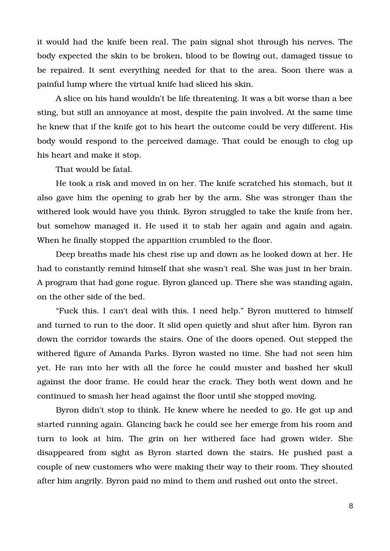it would had the knife been real. The pain signal shot through his nerves. The body expected the skin to be broken, blood to be flowing out, damaged tissue to be repaired. It sent everything needed for that to the area. Soon there was a painful lump where the virtual knife had sliced his skin.

A slice on his hand wouldn't be life threatening. It was a bit worse than a bee sting, but still an annoyance at most, despite the pain involved. At the same time he knew that if the knife got to his heart the outcome could be very different. His body would respond to the perceived damage. That could be enough to clog up his heart and make it stop.

That would be fatal.

He took a risk and moved in on her. The knife scratched his stomach, but it also gave him the opening to grab her by the arm. She was stronger than the withered look would have you think. Byron struggled to take the knife from her, but somehow managed it. He used it to stab her again and again and again. When he finally stopped the apparition crumbled to the floor.

Deep breaths made his chest rise up and down as he looked down at her. He had to constantly remind himself that she wasn't real. She was just in her brain. A program that had gone rogue. Byron glanced up. There she was standing again, on the other side of the bed.

"Fuck this. I can't deal with this. I need help." Byron muttered to himself and turned to run to the door. It slid open quietly and shut after him. Byron ran down the corridor towards the stairs. One of the doors opened. Out stepped the withered figure of Amanda Parks. Byron wasted no time. She had not seen him yet. He ran into her with all the force he could muster and bashed her skull against the door frame. He could hear the crack. They both went down and he continued to smash her head against the floor until she stopped moving.

Byron didn't stop to think. He knew where he needed to go. He got up and started running again. Glancing back he could see her emerge from his room and turn to look at him. The grin on her withered face had grown wider. She disappeared from sight as Byron started down the stairs. He pushed past a couple of new customers who were making their way to their room. They shouted after him angrily. Byron paid no mind to them and rushed out onto the street.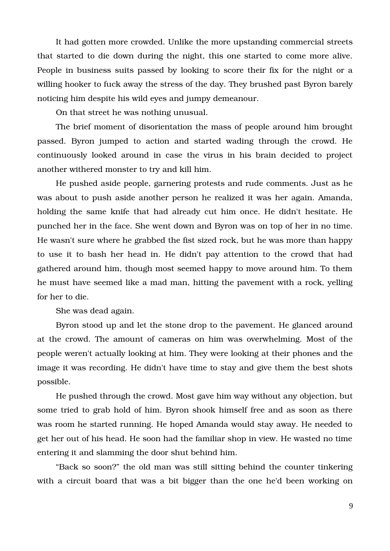It had gotten more crowded. Unlike the more upstanding commercial streets that started to die down during the night, this one started to come more alive. People in business suits passed by looking to score their fix for the night or a willing hooker to fuck away the stress of the day. They brushed past Byron barely noticing him despite his wild eyes and jumpy demeanour.

On that street he was nothing unusual.

The brief moment of disorientation the mass of people around him brought passed. Byron jumped to action and started wading through the crowd. He continuously looked around in case the virus in his brain decided to project another withered monster to try and kill him.

He pushed aside people, garnering protests and rude comments. Just as he was about to push aside another person he realized it was her again. Amanda, holding the same knife that had already cut him once. He didn't hesitate. He punched her in the face. She went down and Byron was on top of her in no time. He wasn't sure where he grabbed the fist sized rock, but he was more than happy to use it to bash her head in. He didn't pay attention to the crowd that had gathered around him, though most seemed happy to move around him. To them he must have seemed like a mad man, hitting the pavement with a rock, yelling for her to die.

She was dead again.

Byron stood up and let the stone drop to the pavement. He glanced around at the crowd. The amount of cameras on him was overwhelming. Most of the people weren't actually looking at him. They were looking at their phones and the image it was recording. He didn't have time to stay and give them the best shots possible.

He pushed through the crowd. Most gave him way without any objection, but some tried to grab hold of him. Byron shook himself free and as soon as there was room he started running. He hoped Amanda would stay away. He needed to get her out of his head. He soon had the familiar shop in view. He wasted no time entering it and slamming the door shut behind him.

"Back so soon?" the old man was still sitting behind the counter tinkering with a circuit board that was a bit bigger than the one he'd been working on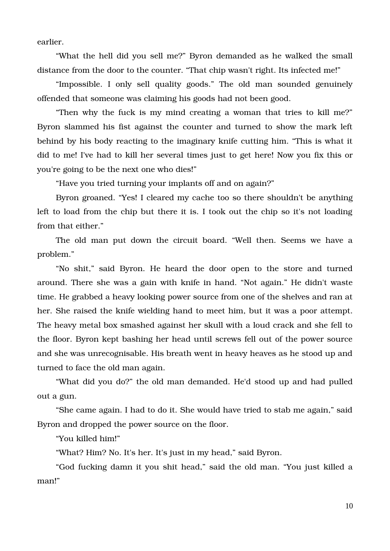earlier.

"What the hell did you sell me?" Byron demanded as he walked the small distance from the door to the counter. "That chip wasn't right. Its infected me!"

"Impossible. I only sell quality goods." The old man sounded genuinely offended that someone was claiming his goods had not been good.

"Then why the fuck is my mind creating a woman that tries to kill me?" Byron slammed his fist against the counter and turned to show the mark left behind by his body reacting to the imaginary knife cutting him. "This is what it did to me! I've had to kill her several times just to get here! Now you fix this or you're going to be the next one who dies!"

"Have you tried turning your implants off and on again?"

Byron groaned. "Yes! I cleared my cache too so there shouldn't be anything left to load from the chip but there it is. I took out the chip so it's not loading from that either."

The old man put down the circuit board. "Well then. Seems we have a problem."

"No shit," said Byron. He heard the door open to the store and turned around. There she was a gain with knife in hand. "Not again." He didn't waste time. He grabbed a heavy looking power source from one of the shelves and ran at her. She raised the knife wielding hand to meet him, but it was a poor attempt. The heavy metal box smashed against her skull with a loud crack and she fell to the floor. Byron kept bashing her head until screws fell out of the power source and she was unrecognisable. His breath went in heavy heaves as he stood up and turned to face the old man again.

"What did you do?" the old man demanded. He'd stood up and had pulled out a gun.

"She came again. I had to do it. She would have tried to stab me again," said Byron and dropped the power source on the floor.

"You killed him!"

"What? Him? No. It's her. It's just in my head," said Byron.

"God fucking damn it you shit head," said the old man. "You just killed a man!"